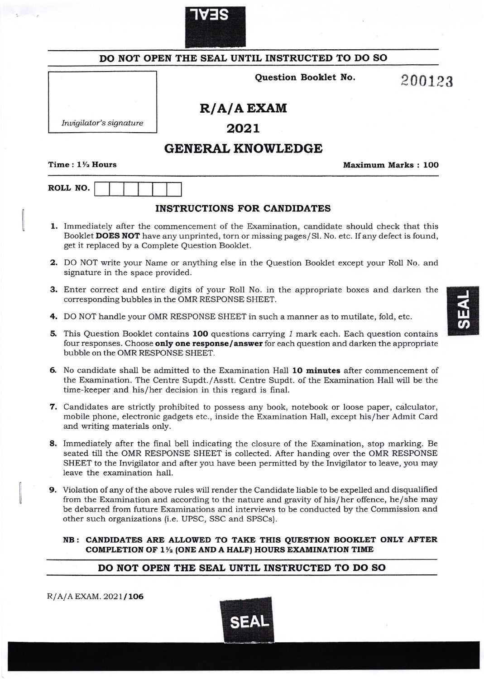

 $\mathbb{I}$ 

|                                                 | DO NOT OPEN THE SEAL UNTIL INSTRUCTED TO DO SO                                                                                                                                                                                                                                                                                                              |                    |
|-------------------------------------------------|-------------------------------------------------------------------------------------------------------------------------------------------------------------------------------------------------------------------------------------------------------------------------------------------------------------------------------------------------------------|--------------------|
|                                                 | Question Booklet No.                                                                                                                                                                                                                                                                                                                                        | 200123             |
|                                                 | $R/A/A$ EXAM                                                                                                                                                                                                                                                                                                                                                |                    |
| Invigilator's signature                         | 2021                                                                                                                                                                                                                                                                                                                                                        |                    |
|                                                 | <b>GENERAL KNOWLEDGE</b>                                                                                                                                                                                                                                                                                                                                    |                    |
| Time: $1\frac{1}{2}$ Hours                      |                                                                                                                                                                                                                                                                                                                                                             | Maximum Marks: 100 |
| ROLL NO.                                        |                                                                                                                                                                                                                                                                                                                                                             |                    |
|                                                 | <b>INSTRUCTIONS FOR CANDIDATES</b>                                                                                                                                                                                                                                                                                                                          |                    |
| get it replaced by a Complete Question Booklet. | 1. Immediately after the commencement of the Examination, candidate should check that this<br>Booklet DOES NOT have any unprinted, torn or missing pages/Sl. No. etc. If any defect is found,                                                                                                                                                               |                    |
| signature in the space provided.                | <b>2.</b> DO NOT write your Name or anything else in the Question Booklet except your Roll No. and                                                                                                                                                                                                                                                          |                    |
|                                                 | <b>3.</b> Enter correct and entire digits of your Roll No. in the appropriate boxes and darken the<br>corresponding bubbles in the OMR RESPONSE SHEET.                                                                                                                                                                                                      |                    |
|                                                 | 4. DO NOT handle your OMR RESPONSE SHEET in such a manner as to mutilate, fold, etc.                                                                                                                                                                                                                                                                        |                    |
| bubble on the OMR RESPONSE SHEET.               | 5. This Question Booklet contains 100 questions carrying 1 mark each. Each question contains<br>four responses. Choose only one response/answer for each question and darken the appropriate                                                                                                                                                                |                    |
|                                                 | 6. No candidate shall be admitted to the Examination Hall 10 minutes after commencement of<br>the Examination. The Centre Supdt./Asstt. Centre Supdt. of the Examination Hall will be the<br>time-keeper and his/her decision in this regard is final.                                                                                                      |                    |
| and writing materials only.                     | 7. Candidates are strictly prohibited to possess any book, notebook or loose paper, calculator,<br>mobile phone, electronic gadgets etc., inside the Examination Hall, except his/her Admit Card                                                                                                                                                            |                    |
| leave the examination hall.                     | 8. Immediately after the final bell indicating the closure of the Examination, stop marking. Be<br>seated till the OMR RESPONSE SHEET is collected. After handing over the OMR RESPONSE<br>SHEET to the Invigilator and after you have been permitted by the Invigilator to leave, you may                                                                  |                    |
|                                                 | 9. Violation of any of the above rules will render the Candidate liable to be expelled and disqualified<br>from the Examination and according to the nature and gravity of his/her offence, he/she may<br>be debarred from future Examinations and interviews to be conducted by the Commission and<br>other such organizations (i.e. UPSC, SSC and SPSCs). |                    |
|                                                 | NB: CANDIDATES ARE ALLOWED TO TAKE THIS QUESTION BOOKLET ONLY AFTER<br>COMPLETION OF 1 <sup>1</sup> / <sub>2</sub> (ONE AND A HALF) HOURS EXAMINATION TIME                                                                                                                                                                                                  |                    |
|                                                 | DO NOT OPEN THE SEAL UNTIL INSTRUCTED TO DO SO                                                                                                                                                                                                                                                                                                              |                    |

SEAL